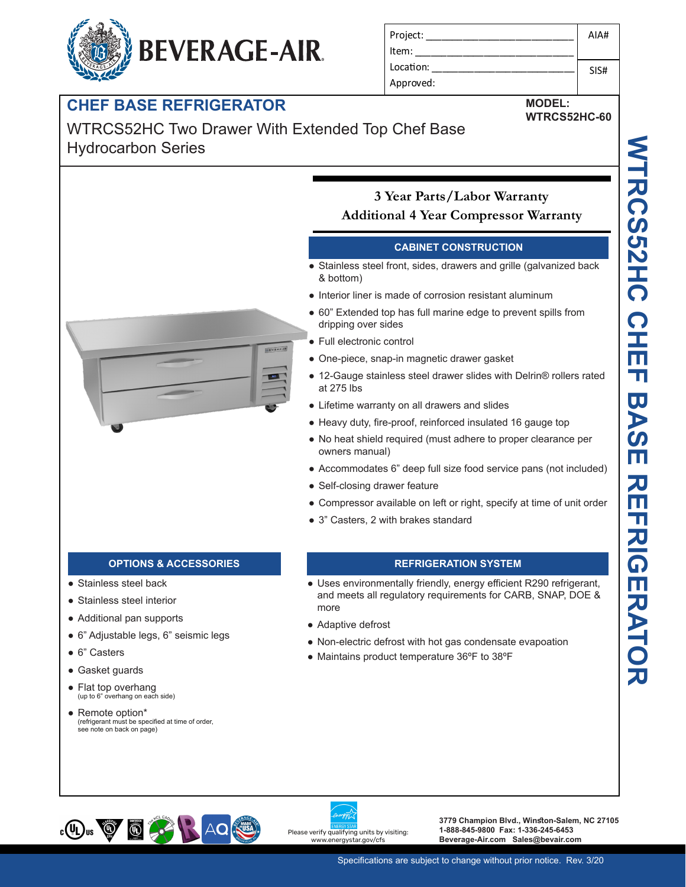# **BEVERAGE-AIR.**

| Project:  | AIA# |
|-----------|------|
| Item:     |      |
| Location: | SIS# |
| Approved: |      |

### **CHEF BASE REFRIGERATOR**

### WTRCS52HC Two Drawer With Extended Top Chef Base Hydrocarbon Series

#### **3 Year Parts/Labor Warranty Additional 4 Year Compressor Warranty**

#### **CABINET CONSTRUCTION**

- Stainless steel front, sides, drawers and grille (galvanized back & bottom)
- Interior liner is made of corrosion resistant aluminum
- 60" Extended top has full marine edge to prevent spills from dripping over sides
- Full electronic control
- One-piece, snap-in magnetic drawer gasket
- 12-Gauge stainless steel drawer slides with Delrin® rollers rated at 275 lbs
- Lifetime warranty on all drawers and slides
- Heavy duty, fire-proof, reinforced insulated 16 gauge top
- No heat shield required (must adhere to proper clearance per owners manual)
- Accommodates 6" deep full size food service pans (not included)
- Self-closing drawer feature
- Compressor available on left or right, specify at time of unit order
- 3" Casters, 2 with brakes standard

- Stainless steel back
- Stainless steel interior
- Additional pan supports
- 6" Adjustable legs, 6" seismic legs
- 6" Casters
- Gasket guards
- Flat top overhang<br>
(up to 6" overhang on each side)
- Remote option\* (refrigerant must be specified at time of order, see note on back on page)

#### **OPTIONS & ACCESSORIES REFRIGERATION SYSTEM**

- Uses environmentally friendly, energy efficient R290 refrigerant, and meets all regulatory requirements for CARB, SNAP, DOE & more
- Adaptive defrost
- Non-electric defrost with hot gas condensate evapoation
- Maintains product temperature 36ºF to 38ºF





**3779 Champion Blvd., Winston-Salem, NC 27105 1-888-845-9800 Fax: 1-336-245-6453 Beverage-Air.com Sales@bevair.com**



**WTRCS52HC-60**